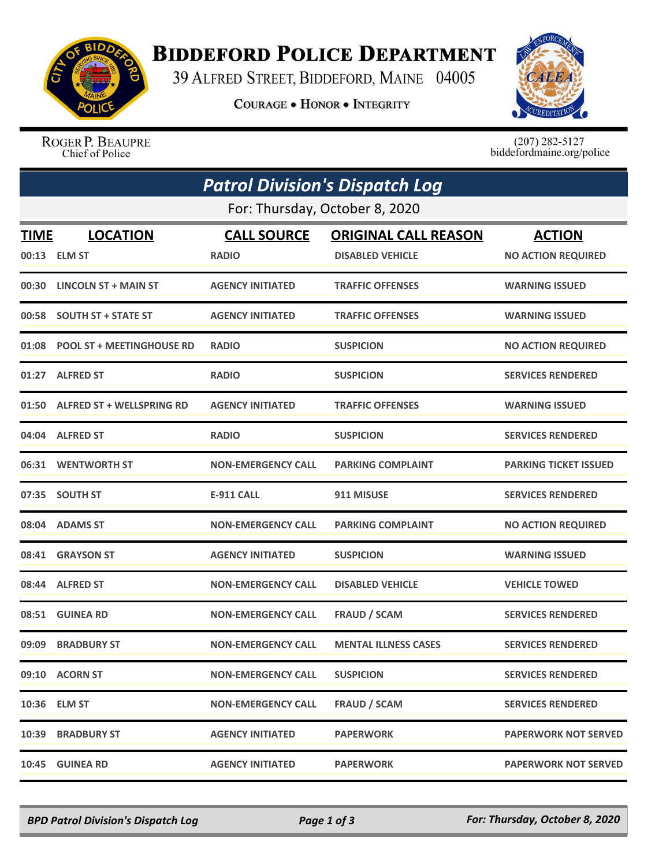

## **BIDDEFORD POLICE DEPARTMENT**

39 ALFRED STREET, BIDDEFORD, MAINE 04005

**COURAGE . HONOR . INTEGRITY** 



ROGER P. BEAUPRE Chief of Police

 $(207)$  282-5127 biddefordmaine.org/police

|                                | <b>Patrol Division's Dispatch Log</b> |                                    |                                                        |                                            |  |  |  |  |
|--------------------------------|---------------------------------------|------------------------------------|--------------------------------------------------------|--------------------------------------------|--|--|--|--|
| For: Thursday, October 8, 2020 |                                       |                                    |                                                        |                                            |  |  |  |  |
| <u>TIME</u>                    | <b>LOCATION</b><br>00:13 ELM ST       | <b>CALL SOURCE</b><br><b>RADIO</b> | <b>ORIGINAL CALL REASON</b><br><b>DISABLED VEHICLE</b> | <b>ACTION</b><br><b>NO ACTION REQUIRED</b> |  |  |  |  |
| 00:30                          | LINCOLN ST + MAIN ST                  | <b>AGENCY INITIATED</b>            | <b>TRAFFIC OFFENSES</b>                                | <b>WARNING ISSUED</b>                      |  |  |  |  |
| 00:58                          | <b>SOUTH ST + STATE ST</b>            | <b>AGENCY INITIATED</b>            | <b>TRAFFIC OFFENSES</b>                                | <b>WARNING ISSUED</b>                      |  |  |  |  |
| 01:08                          | <b>POOL ST + MEETINGHOUSE RD</b>      | <b>RADIO</b>                       | <b>SUSPICION</b>                                       | <b>NO ACTION REQUIRED</b>                  |  |  |  |  |
|                                | 01:27 ALFRED ST                       | <b>RADIO</b>                       | <b>SUSPICION</b>                                       | <b>SERVICES RENDERED</b>                   |  |  |  |  |
|                                | 01:50 ALFRED ST + WELLSPRING RD       | <b>AGENCY INITIATED</b>            | <b>TRAFFIC OFFENSES</b>                                | <b>WARNING ISSUED</b>                      |  |  |  |  |
|                                | 04:04 ALFRED ST                       | <b>RADIO</b>                       | <b>SUSPICION</b>                                       | <b>SERVICES RENDERED</b>                   |  |  |  |  |
|                                | 06:31 WENTWORTH ST                    | <b>NON-EMERGENCY CALL</b>          | <b>PARKING COMPLAINT</b>                               | <b>PARKING TICKET ISSUED</b>               |  |  |  |  |
|                                | 07:35 SOUTH ST                        | <b>E-911 CALL</b>                  | 911 MISUSE                                             | <b>SERVICES RENDERED</b>                   |  |  |  |  |
|                                | 08:04 ADAMS ST                        | <b>NON-EMERGENCY CALL</b>          | <b>PARKING COMPLAINT</b>                               | <b>NO ACTION REQUIRED</b>                  |  |  |  |  |
| 08:41                          | <b>GRAYSON ST</b>                     | <b>AGENCY INITIATED</b>            | <b>SUSPICION</b>                                       | <b>WARNING ISSUED</b>                      |  |  |  |  |
|                                | 08:44 ALFRED ST                       | <b>NON-EMERGENCY CALL</b>          | <b>DISABLED VEHICLE</b>                                | <b>VEHICLE TOWED</b>                       |  |  |  |  |
| 08:51                          | <b>GUINEA RD</b>                      | <b>NON-EMERGENCY CALL</b>          | <b>FRAUD / SCAM</b>                                    | <b>SERVICES RENDERED</b>                   |  |  |  |  |
| 09:09                          | <b>BRADBURY ST</b>                    | <b>NON-EMERGENCY CALL</b>          | <b>MENTAL ILLNESS CASES</b>                            | <b>SERVICES RENDERED</b>                   |  |  |  |  |
|                                | 09:10 ACORN ST                        | <b>NON-EMERGENCY CALL</b>          | <b>SUSPICION</b>                                       | <b>SERVICES RENDERED</b>                   |  |  |  |  |
|                                | 10:36 ELM ST                          | <b>NON-EMERGENCY CALL</b>          | <b>FRAUD / SCAM</b>                                    | <b>SERVICES RENDERED</b>                   |  |  |  |  |
|                                | 10:39 BRADBURY ST                     | <b>AGENCY INITIATED</b>            | <b>PAPERWORK</b>                                       | <b>PAPERWORK NOT SERVED</b>                |  |  |  |  |
|                                | 10:45 GUINEA RD                       | <b>AGENCY INITIATED</b>            | <b>PAPERWORK</b>                                       | <b>PAPERWORK NOT SERVED</b>                |  |  |  |  |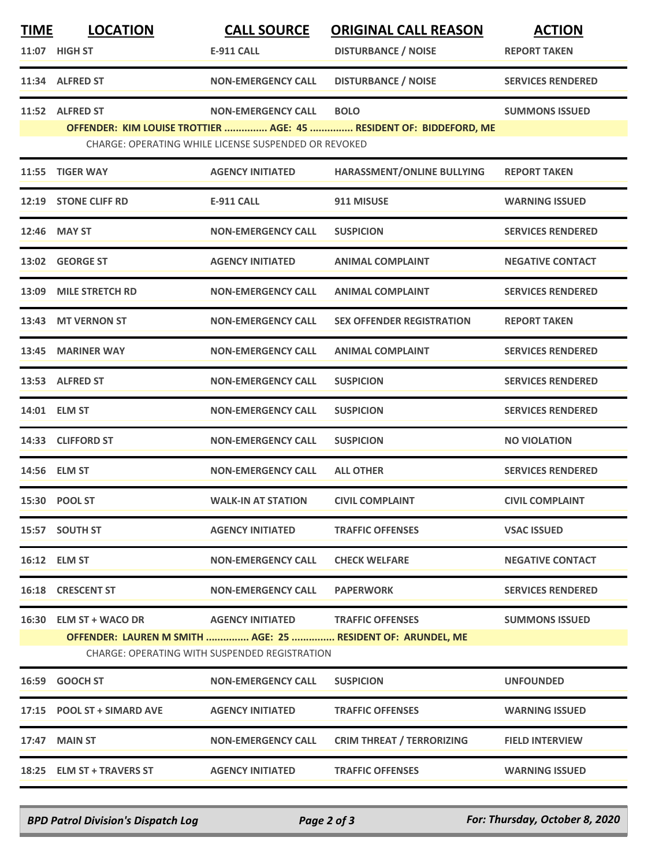| <b>TIME</b> | <b>LOCATION</b>                                             | <b>CALL SOURCE</b>                                   | <b>ORIGINAL CALL REASON</b>                                        | <b>ACTION</b>            |
|-------------|-------------------------------------------------------------|------------------------------------------------------|--------------------------------------------------------------------|--------------------------|
|             | 11:07 HIGH ST                                               | <b>E-911 CALL</b>                                    | <b>DISTURBANCE / NOISE</b>                                         | <b>REPORT TAKEN</b>      |
|             | 11:34 ALFRED ST                                             | <b>NON-EMERGENCY CALL</b>                            | <b>DISTURBANCE / NOISE</b>                                         | <b>SERVICES RENDERED</b> |
|             | 11:52 ALFRED ST                                             | <b>NON-EMERGENCY CALL</b>                            | <b>BOLO</b>                                                        | <b>SUMMONS ISSUED</b>    |
|             |                                                             | CHARGE: OPERATING WHILE LICENSE SUSPENDED OR REVOKED | OFFENDER: KIM LOUISE TROTTIER  AGE: 45  RESIDENT OF: BIDDEFORD, ME |                          |
| 11:55       | <b>TIGER WAY</b>                                            | <b>AGENCY INITIATED</b>                              | HARASSMENT/ONLINE BULLYING                                         | <b>REPORT TAKEN</b>      |
|             | 12:19 STONE CLIFF RD                                        | <b>E-911 CALL</b>                                    | 911 MISUSE                                                         | <b>WARNING ISSUED</b>    |
| 12:46       | <b>MAY ST</b>                                               | <b>NON-EMERGENCY CALL</b>                            | <b>SUSPICION</b>                                                   | <b>SERVICES RENDERED</b> |
|             | 13:02 GEORGE ST                                             | <b>AGENCY INITIATED</b>                              | <b>ANIMAL COMPLAINT</b>                                            | <b>NEGATIVE CONTACT</b>  |
| 13:09       | <b>MILE STRETCH RD</b>                                      | <b>NON-EMERGENCY CALL</b>                            | <b>ANIMAL COMPLAINT</b>                                            | <b>SERVICES RENDERED</b> |
| 13:43       | <b>MT VERNON ST</b>                                         | <b>NON-EMERGENCY CALL</b>                            | <b>SEX OFFENDER REGISTRATION</b>                                   | <b>REPORT TAKEN</b>      |
| 13:45       | <b>MARINER WAY</b>                                          | <b>NON-EMERGENCY CALL</b>                            | <b>ANIMAL COMPLAINT</b>                                            | <b>SERVICES RENDERED</b> |
|             | 13:53 ALFRED ST                                             | <b>NON-EMERGENCY CALL</b>                            | <b>SUSPICION</b>                                                   | <b>SERVICES RENDERED</b> |
|             | 14:01 ELM ST                                                | <b>NON-EMERGENCY CALL</b>                            | <b>SUSPICION</b>                                                   | <b>SERVICES RENDERED</b> |
| 14:33       | <b>CLIFFORD ST</b>                                          | <b>NON-EMERGENCY CALL</b>                            | <b>SUSPICION</b>                                                   | <b>NO VIOLATION</b>      |
|             | 14:56 ELM ST                                                | <b>NON-EMERGENCY CALL</b>                            | <b>ALL OTHER</b>                                                   | <b>SERVICES RENDERED</b> |
|             | 15:30 POOL ST                                               | <b>WALK-IN AT STATION</b>                            | <b>CIVIL COMPLAINT</b>                                             | <b>CIVIL COMPLAINT</b>   |
|             | 15:57 SOUTH ST                                              | <b>AGENCY INITIATED</b>                              | <b>TRAFFIC OFFENSES</b>                                            | <b>VSAC ISSUED</b>       |
|             | 16:12 ELM ST                                                | <b>NON-EMERGENCY CALL</b>                            | <b>CHECK WELFARE</b>                                               | <b>NEGATIVE CONTACT</b>  |
|             | 16:18 CRESCENT ST                                           | <b>NON-EMERGENCY CALL</b>                            | <b>PAPERWORK</b>                                                   | <b>SERVICES RENDERED</b> |
|             | 16:30 ELM ST + WACO DR                                      | AGENCY INITIATED TRAFFIC OFFENSES                    |                                                                    | <b>SUMMONS ISSUED</b>    |
|             | OFFENDER: LAUREN M SMITH  AGE: 25  RESIDENT OF: ARUNDEL, ME | <b>CHARGE: OPERATING WITH SUSPENDED REGISTRATION</b> |                                                                    |                          |
|             | 16:59 GOOCH ST                                              | <b>NON-EMERGENCY CALL</b>                            | <b>SUSPICION</b>                                                   | <b>UNFOUNDED</b>         |
|             | 17:15 POOL ST + SIMARD AVE                                  | <b>AGENCY INITIATED</b>                              | <b>TRAFFIC OFFENSES</b>                                            | <b>WARNING ISSUED</b>    |
|             | 17:47 MAIN ST                                               | <b>NON-EMERGENCY CALL</b>                            | <b>CRIM THREAT / TERRORIZING</b>                                   | <b>FIELD INTERVIEW</b>   |
|             | 18:25 ELM ST + TRAVERS ST                                   | <b>AGENCY INITIATED</b>                              | <b>TRAFFIC OFFENSES</b>                                            | <b>WARNING ISSUED</b>    |

*BPD Patrol Division's Dispatch Log Page 2 of 3 For: Thursday, October 8, 2020*